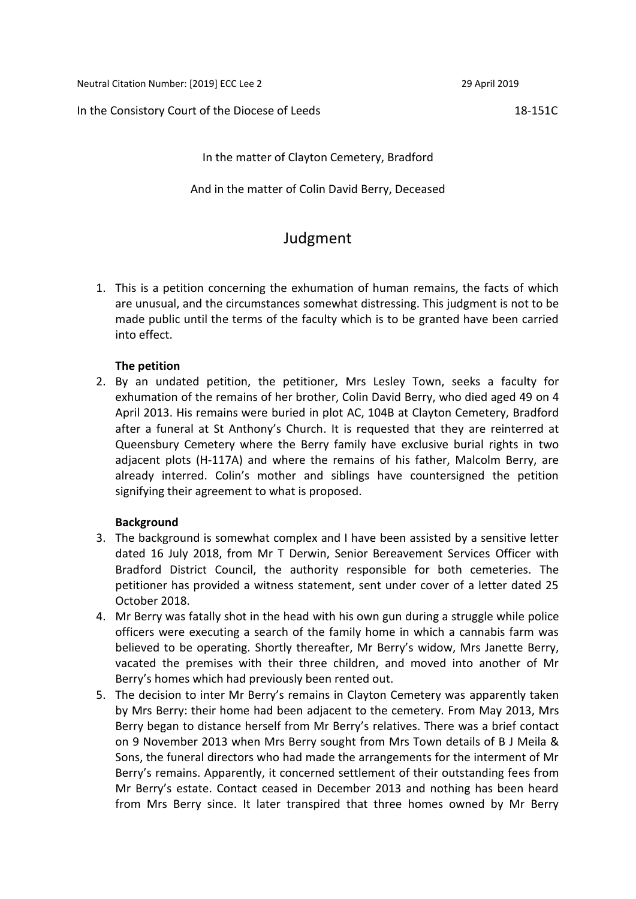Neutral Citation Number: [2019] ECC Lee 2 29 April 2019

In the Consistory Court of the Diocese of Leeds 18-151C

In the matter of Clayton Cemetery, Bradford

And in the matter of Colin David Berry, Deceased

# Judgment

1. This is a petition concerning the exhumation of human remains, the facts of which are unusual, and the circumstances somewhat distressing. This judgment is not to be made public until the terms of the faculty which is to be granted have been carried into effect.

### **The petition**

2. By an undated petition, the petitioner, Mrs Lesley Town, seeks a faculty for exhumation of the remains of her brother, Colin David Berry, who died aged 49 on 4 April 2013. His remains were buried in plot AC, 104B at Clayton Cemetery, Bradford after a funeral at St Anthony's Church. It is requested that they are reinterred at Queensbury Cemetery where the Berry family have exclusive burial rights in two adjacent plots (H-117A) and where the remains of his father, Malcolm Berry, are already interred. Colin's mother and siblings have countersigned the petition signifying their agreement to what is proposed.

## **Background**

- 3. The background is somewhat complex and I have been assisted by a sensitive letter dated 16 July 2018, from Mr T Derwin, Senior Bereavement Services Officer with Bradford District Council, the authority responsible for both cemeteries. The petitioner has provided a witness statement, sent under cover of a letter dated 25 October 2018.
- 4. Mr Berry was fatally shot in the head with his own gun during a struggle while police officers were executing a search of the family home in which a cannabis farm was believed to be operating. Shortly thereafter, Mr Berry's widow, Mrs Janette Berry, vacated the premises with their three children, and moved into another of Mr Berry's homes which had previously been rented out.
- 5. The decision to inter Mr Berry's remains in Clayton Cemetery was apparently taken by Mrs Berry: their home had been adjacent to the cemetery. From May 2013, Mrs Berry began to distance herself from Mr Berry's relatives. There was a brief contact on 9 November 2013 when Mrs Berry sought from Mrs Town details of B J Meila & Sons, the funeral directors who had made the arrangements for the interment of Mr Berry's remains. Apparently, it concerned settlement of their outstanding fees from Mr Berry's estate. Contact ceased in December 2013 and nothing has been heard from Mrs Berry since. It later transpired that three homes owned by Mr Berry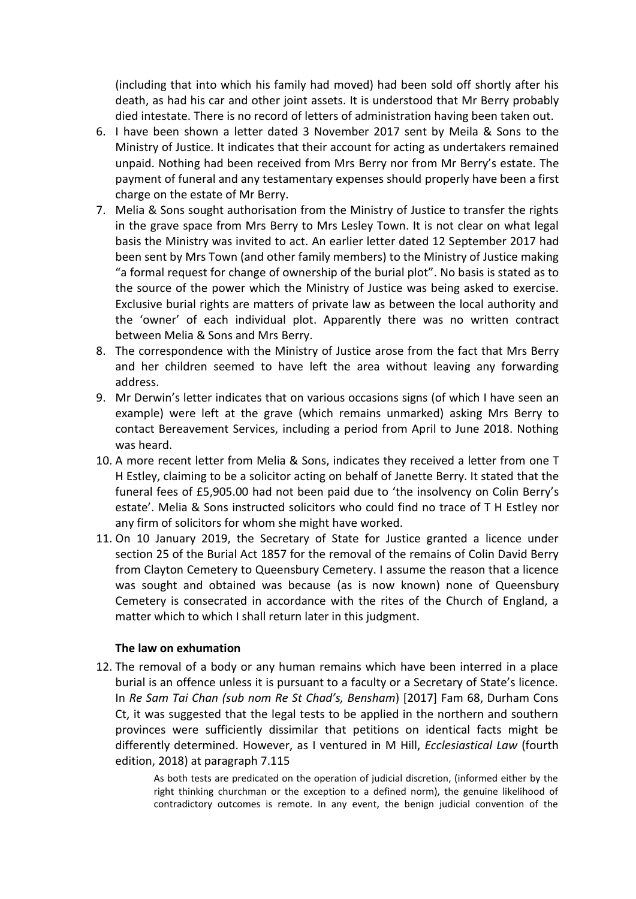(including that into which his family had moved) had been sold off shortly after his death, as had his car and other joint assets. It is understood that Mr Berry probably died intestate. There is no record of letters of administration having been taken out.

- 6. I have been shown a letter dated 3 November 2017 sent by Meila & Sons to the Ministry of Justice. It indicates that their account for acting as undertakers remained unpaid. Nothing had been received from Mrs Berry nor from Mr Berry's estate. The payment of funeral and any testamentary expenses should properly have been a first charge on the estate of Mr Berry.
- 7. Melia & Sons sought authorisation from the Ministry of Justice to transfer the rights in the grave space from Mrs Berry to Mrs Lesley Town. It is not clear on what legal basis the Ministry was invited to act. An earlier letter dated 12 September 2017 had been sent by Mrs Town (and other family members) to the Ministry of Justice making "a formal request for change of ownership of the burial plot". No basis is stated as to the source of the power which the Ministry of Justice was being asked to exercise. Exclusive burial rights are matters of private law as between the local authority and the 'owner' of each individual plot. Apparently there was no written contract between Melia & Sons and Mrs Berry.
- 8. The correspondence with the Ministry of Justice arose from the fact that Mrs Berry and her children seemed to have left the area without leaving any forwarding address.
- 9. Mr Derwin's letter indicates that on various occasions signs (of which I have seen an example) were left at the grave (which remains unmarked) asking Mrs Berry to contact Bereavement Services, including a period from April to June 2018. Nothing was heard.
- 10. A more recent letter from Melia & Sons, indicates they received a letter from one T H Estley, claiming to be a solicitor acting on behalf of Janette Berry. It stated that the funeral fees of £5,905.00 had not been paid due to 'the insolvency on Colin Berry's estate'. Melia & Sons instructed solicitors who could find no trace of T H Estley nor any firm of solicitors for whom she might have worked.
- 11. On 10 January 2019, the Secretary of State for Justice granted a licence under section 25 of the Burial Act 1857 for the removal of the remains of Colin David Berry from Clayton Cemetery to Queensbury Cemetery. I assume the reason that a licence was sought and obtained was because (as is now known) none of Queensbury Cemetery is consecrated in accordance with the rites of the Church of England, a matter which to which I shall return later in this judgment.

### **The law on exhumation**

12. The removal of a body or any human remains which have been interred in a place burial is an offence unless it is pursuant to a faculty or a Secretary of State's licence. In *Re Sam Tai Chan (sub nom Re St Chad's, Bensham*) [2017] Fam 68, Durham Cons Ct, it was suggested that the legal tests to be applied in the northern and southern provinces were sufficiently dissimilar that petitions on identical facts might be differently determined. However, as I ventured in M Hill, *Ecclesiastical Law* (fourth edition, 2018) at paragraph 7.115

> As both tests are predicated on the operation of judicial discretion, (informed either by the right thinking churchman or the exception to a defined norm), the genuine likelihood of contradictory outcomes is remote. In any event, the benign judicial convention of the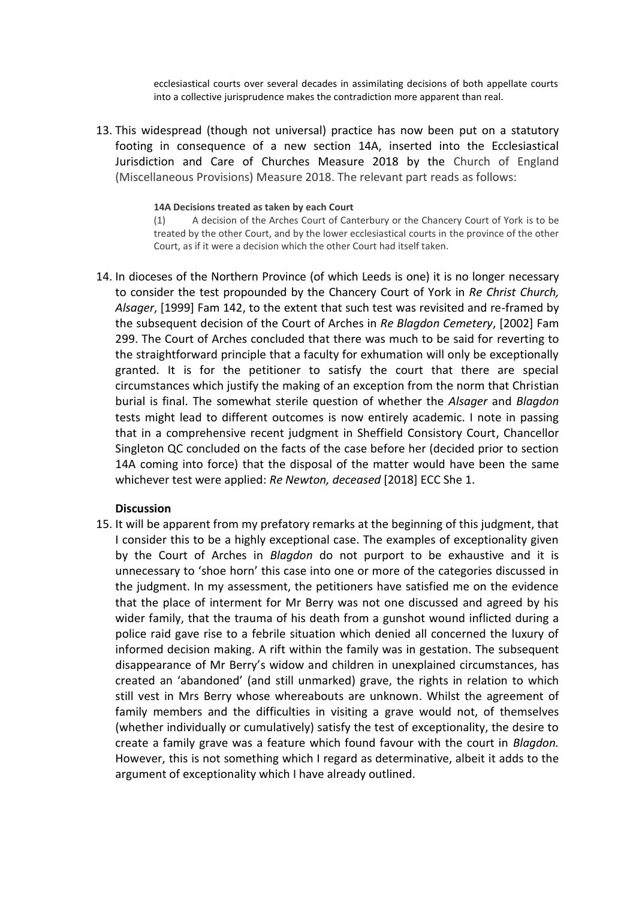ecclesiastical courts over several decades in assimilating decisions of both appellate courts into a collective jurisprudence makes the contradiction more apparent than real.

13. This widespread (though not universal) practice has now been put on a statutory footing in consequence of a new section 14A, inserted into the Ecclesiastical Jurisdiction and Care of Churches Measure 2018 by the Church of England (Miscellaneous Provisions) Measure 2018. The relevant part reads as follows:

#### **14A Decisions treated as taken by each Court**

(1) A decision of the Arches Court of Canterbury or the Chancery Court of York is to be treated by the other Court, and by the lower ecclesiastical courts in the province of the other Court, as if it were a decision which the other Court had itself taken.

14. In dioceses of the Northern Province (of which Leeds is one) it is no longer necessary to consider the test propounded by the Chancery Court of York in *Re Christ Church, Alsager*, [1999] Fam 142, to the extent that such test was revisited and re-framed by the subsequent decision of the Court of Arches in *Re Blagdon Cemetery*, [2002] Fam 299. The Court of Arches concluded that there was much to be said for reverting to the straightforward principle that a faculty for exhumation will only be exceptionally granted. It is for the petitioner to satisfy the court that there are special circumstances which justify the making of an exception from the norm that Christian burial is final. The somewhat sterile question of whether the *Alsager* and *Blagdon* tests might lead to different outcomes is now entirely academic. I note in passing that in a comprehensive recent judgment in Sheffield Consistory Court, Chancellor Singleton QC concluded on the facts of the case before her (decided prior to section 14A coming into force) that the disposal of the matter would have been the same whichever test were applied: *Re Newton, deceased* [2018] ECC She 1.

#### **Discussion**

15. It will be apparent from my prefatory remarks at the beginning of this judgment, that I consider this to be a highly exceptional case. The examples of exceptionality given by the Court of Arches in *Blagdon* do not purport to be exhaustive and it is unnecessary to 'shoe horn' this case into one or more of the categories discussed in the judgment. In my assessment, the petitioners have satisfied me on the evidence that the place of interment for Mr Berry was not one discussed and agreed by his wider family, that the trauma of his death from a gunshot wound inflicted during a police raid gave rise to a febrile situation which denied all concerned the luxury of informed decision making. A rift within the family was in gestation. The subsequent disappearance of Mr Berry's widow and children in unexplained circumstances, has created an 'abandoned' (and still unmarked) grave, the rights in relation to which still vest in Mrs Berry whose whereabouts are unknown. Whilst the agreement of family members and the difficulties in visiting a grave would not, of themselves (whether individually or cumulatively) satisfy the test of exceptionality, the desire to create a family grave was a feature which found favour with the court in *Blagdon.*  However, this is not something which I regard as determinative, albeit it adds to the argument of exceptionality which I have already outlined.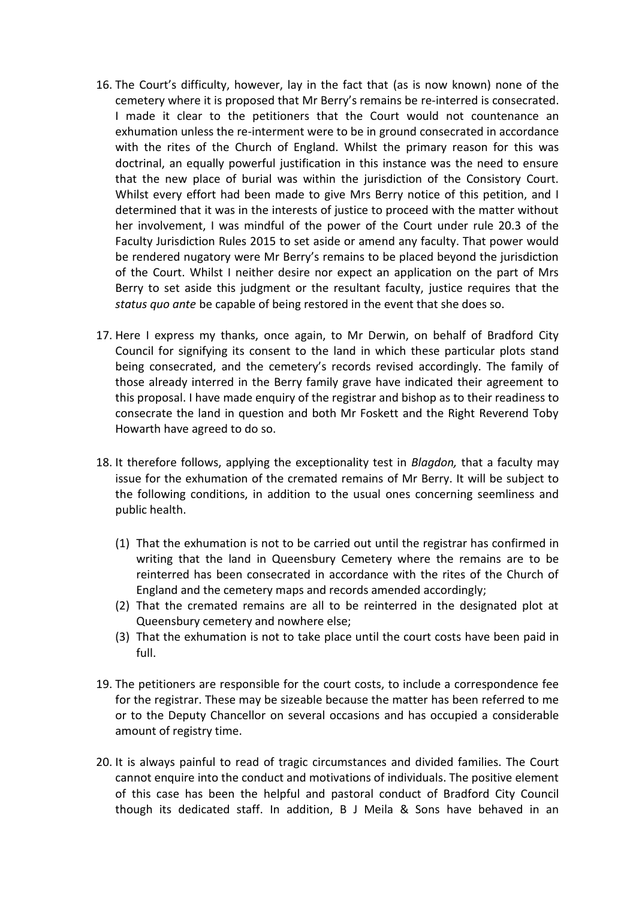- 16. The Court's difficulty, however, lay in the fact that (as is now known) none of the cemetery where it is proposed that Mr Berry's remains be re-interred is consecrated. I made it clear to the petitioners that the Court would not countenance an exhumation unless the re-interment were to be in ground consecrated in accordance with the rites of the Church of England. Whilst the primary reason for this was doctrinal, an equally powerful justification in this instance was the need to ensure that the new place of burial was within the jurisdiction of the Consistory Court. Whilst every effort had been made to give Mrs Berry notice of this petition, and I determined that it was in the interests of justice to proceed with the matter without her involvement, I was mindful of the power of the Court under rule 20.3 of the Faculty Jurisdiction Rules 2015 to set aside or amend any faculty. That power would be rendered nugatory were Mr Berry's remains to be placed beyond the jurisdiction of the Court. Whilst I neither desire nor expect an application on the part of Mrs Berry to set aside this judgment or the resultant faculty, justice requires that the *status quo ante* be capable of being restored in the event that she does so.
- 17. Here I express my thanks, once again, to Mr Derwin, on behalf of Bradford City Council for signifying its consent to the land in which these particular plots stand being consecrated, and the cemetery's records revised accordingly. The family of those already interred in the Berry family grave have indicated their agreement to this proposal. I have made enquiry of the registrar and bishop as to their readiness to consecrate the land in question and both Mr Foskett and the Right Reverend Toby Howarth have agreed to do so.
- 18. It therefore follows, applying the exceptionality test in *Blagdon,* that a faculty may issue for the exhumation of the cremated remains of Mr Berry. It will be subject to the following conditions, in addition to the usual ones concerning seemliness and public health.
	- (1) That the exhumation is not to be carried out until the registrar has confirmed in writing that the land in Queensbury Cemetery where the remains are to be reinterred has been consecrated in accordance with the rites of the Church of England and the cemetery maps and records amended accordingly;
	- (2) That the cremated remains are all to be reinterred in the designated plot at Queensbury cemetery and nowhere else;
	- (3) That the exhumation is not to take place until the court costs have been paid in full.
- 19. The petitioners are responsible for the court costs, to include a correspondence fee for the registrar. These may be sizeable because the matter has been referred to me or to the Deputy Chancellor on several occasions and has occupied a considerable amount of registry time.
- 20. It is always painful to read of tragic circumstances and divided families. The Court cannot enquire into the conduct and motivations of individuals. The positive element of this case has been the helpful and pastoral conduct of Bradford City Council though its dedicated staff. In addition, B J Meila & Sons have behaved in an